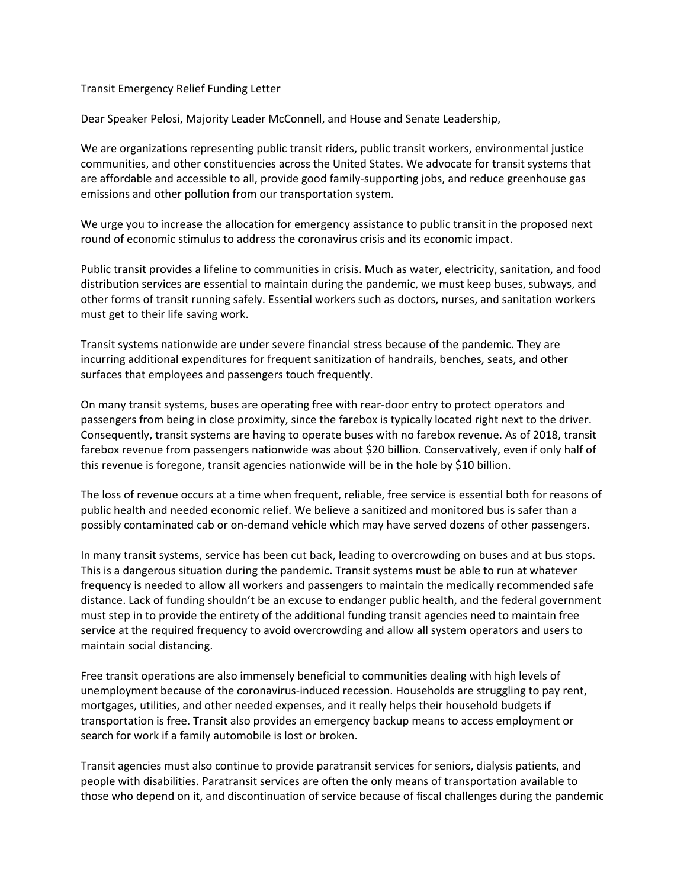## Transit Emergency Relief Funding Letter

Dear Speaker Pelosi, Majority Leader McConnell, and House and Senate Leadership,

We are organizations representing public transit riders, public transit workers, environmental justice communities, and other constituencies across the United States. We advocate for transit systems that are affordable and accessible to all, provide good family-supporting jobs, and reduce greenhouse gas emissions and other pollution from our transportation system.

We urge you to increase the allocation for emergency assistance to public transit in the proposed next round of economic stimulus to address the coronavirus crisis and its economic impact.

Public transit provides a lifeline to communities in crisis. Much as water, electricity, sanitation, and food distribution services are essential to maintain during the pandemic, we must keep buses, subways, and other forms of transit running safely. Essential workers such as doctors, nurses, and sanitation workers must get to their life saving work.

Transit systems nationwide are under severe financial stress because of the pandemic. They are incurring additional expenditures for frequent sanitization of handrails, benches, seats, and other surfaces that employees and passengers touch frequently.

On many transit systems, buses are operating free with rear-door entry to protect operators and passengers from being in close proximity, since the farebox is typically located right next to the driver. Consequently, transit systems are having to operate buses with no farebox revenue. As of 2018, transit farebox revenue from passengers nationwide was about \$20 billion. Conservatively, even if only half of this revenue is foregone, transit agencies nationwide will be in the hole by \$10 billion.

The loss of revenue occurs at a time when frequent, reliable, free service is essential both for reasons of public health and needed economic relief. We believe a sanitized and monitored bus is safer than a possibly contaminated cab or on-demand vehicle which may have served dozens of other passengers.

In many transit systems, service has been cut back, leading to overcrowding on buses and at bus stops. This is a dangerous situation during the pandemic. Transit systems must be able to run at whatever frequency is needed to allow all workers and passengers to maintain the medically recommended safe distance. Lack of funding shouldn't be an excuse to endanger public health, and the federal government must step in to provide the entirety of the additional funding transit agencies need to maintain free service at the required frequency to avoid overcrowding and allow all system operators and users to maintain social distancing.

Free transit operations are also immensely beneficial to communities dealing with high levels of unemployment because of the coronavirus-induced recession. Households are struggling to pay rent, mortgages, utilities, and other needed expenses, and it really helps their household budgets if transportation is free. Transit also provides an emergency backup means to access employment or search for work if a family automobile is lost or broken.

Transit agencies must also continue to provide paratransit services for seniors, dialysis patients, and people with disabilities. Paratransit services are often the only means of transportation available to those who depend on it, and discontinuation of service because of fiscal challenges during the pandemic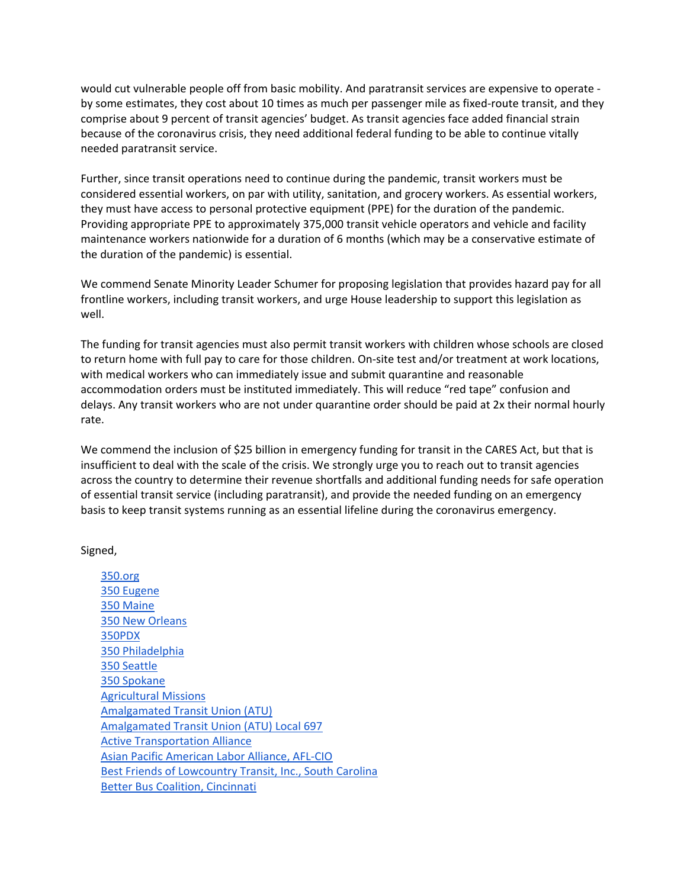would cut vulnerable people off from basic mobility. And paratransit services are expensive to operate by some estimates, they cost about 10 times as much per passenger mile as fixed-route transit, and they comprise about 9 percent of transit agencies' budget. As transit agencies face added financial strain because of the coronavirus crisis, they need additional federal funding to be able to continue vitally needed paratransit service.

Further, since transit operations need to continue during the pandemic, transit workers must be considered essential workers, on par with utility, sanitation, and grocery workers. As essential workers, they must have access to personal protective equipment (PPE) for the duration of the pandemic. Providing appropriate PPE to approximately 375,000 transit vehicle operators and vehicle and facility maintenance workers nationwide for a duration of 6 months (which may be a conservative estimate of the duration of the pandemic) is essential.

We commend Senate Minority Leader Schumer for proposing legislation that provides hazard pay for all frontline workers, including transit workers, and urge House leadership to support this legislation as well.

The funding for transit agencies must also permit transit workers with children whose schools are closed to return home with full pay to care for those children. On-site test and/or treatment at work locations, with medical workers who can immediately issue and submit quarantine and reasonable accommodation orders must be instituted immediately. This will reduce "red tape" confusion and delays. Any transit workers who are not under quarantine order should be paid at 2x their normal hourly rate.

We commend the inclusion of \$25 billion in emergency funding for transit in the CARES Act, but that is insufficient to deal with the scale of the crisis. We strongly urge you to reach out to transit agencies across the country to determine their revenue shortfalls and additional funding needs for safe operation of essential transit service (including paratransit), and provide the needed funding on an emergency basis to keep transit systems running as an essential lifeline during the coronavirus emergency.

## Signed,

[350.org](https://350.org/) [350 Eugene](https://world.350.org/eugene/) [350 Maine](https://www.350maine.org/) [350 New Orleans](https://350neworleans.org/) [350PDX](https://350pdx.org/) [350 Philadelphia](https://www.facebook.com/350philly/) [350 Seattle](https://350seattle.org/) [350 Spokane](https://350spokane.org/) [Agricultural Missions](http://www.ag-missions.org/) [Amalgamated Transit Union \(ATU\)](https://www.atu.org/) [Amalgamated Transit Union \(ATU\) Local 697](https://www.atulocals.org/local-697) [Active Transportation Alliance](https://activetrans.org/) [Asian Pacific American Labor Alliance, AFL-CIO](https://www.apalanet.org/) [Best Friends of Lowcountry Transit,](http://bfltransit.blogspot.com/) Inc., South Carolina [Better Bus Coalition,](https://betterbuscoalition.org/) Cincinnati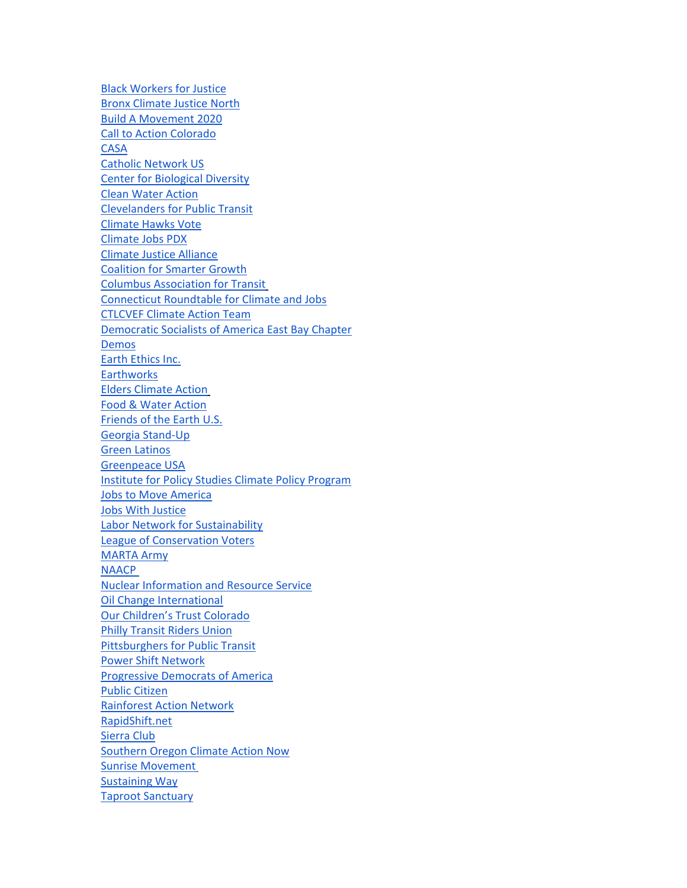[Black Workers for Justice](https://blackworkersforjustice.com/) [Bronx Climate Justice North](https://bronxclimatejusticenorth.wordpress.com/) [Build A Movement 2020](https://www.drpaulzeitz.org/bam2020/) [Call to Action Colorado](https://www.facebook.com/pages/category/Community/Colorado-Call-To-Action-1563448273942704/) [CASA](https://wearecasa.org/) [Catholic Network US](https://catholicnetwork.us/) [Center for Biological Diversity](https://www.biologicaldiversity.org/) [Clean Water Action](https://www.cleanwateraction.org/) [Clevelanders for Public Transit](https://clefortransit.org/) [Climate Hawks Vote](http://climatehawksvote.com/) [Climate Jobs PDX](https://climatejobspdx.weebly.com/) [Climate Justice Alliance](https://climatejusticealliance.org/) [Coalition for Smarter Growth](https://www.smartergrowth.net/) [Columbus Association for Transit](http://catcolumbus.org/) [Connecticut Roundtable for Climate and Jobs](https://ctclimateandjobs.org/) [CTLCVEF](https://www.ctlcv.org/) Climate Action Team [Democratic Socialists of America East Bay Chapter](https://www.eastbaydsa.org/) [Demos](https://www.demos.org/) [Earth Ethics Inc.](http://www.earthethics.us/) **[Earthworks](https://earthworks.org/)** [Elders Climate Action](https://www.eldersclimateaction.org/) [Food & Water Action](https://www.foodandwateraction.org/) [Friends of the Earth U.S.](https://foe.org/) [Georgia Stand-Up](https://www.georgiastandup.org/) [Green Latinos](http://www.greenlatinos.org/) [Greenpeace USA](https://www.greenpeace.org/usa/) [Institute for Policy Studies Climate Policy Program](https://ips-dc.org/ips-project/climate-policy/) [Jobs to Move America](https://jobstomoveamerica.org/) [Jobs With Justice](https://www.jwj.org/) [Labor Network for Sustainability](https://www.labor4sustainability.org/) [League of Conservation Voters](https://www.lcv.org/) [MARTA Army](http://www.martaarmy.org/) **[NAACP](https://www.naacp.org/)** [Nuclear Information and Resource Service](https://www.nirs.org/) [Oil Change International](http://priceofoil.org/) Our Children's Trust Colorado [Philly Transit Riders Union](https://phillytru.org/) [Pittsburghers for Public Transit](https://www.pittsburghforpublictransit.org/) [Power Shift Network](https://www.powershift.org/) [Progressive Democrats of America](https://pdamerica.org/) [Public Citizen](https://www.citizen.org/) [Rainforest Action Network](https://www.ran.org/) [RapidShift.net](http://www.rapidshift.net/) [Sierra Club](https://www.sierraclub.org/) [Southern Oregon Climate Action Now](https://socan.eco/) [Sunrise Movement](https://www.sunrisemovement.org/) [Sustaining Way](https://www.sustainingway.org/) [Taproot Sanctuary](https://www.facebook.com/TaprootSanctuary/)